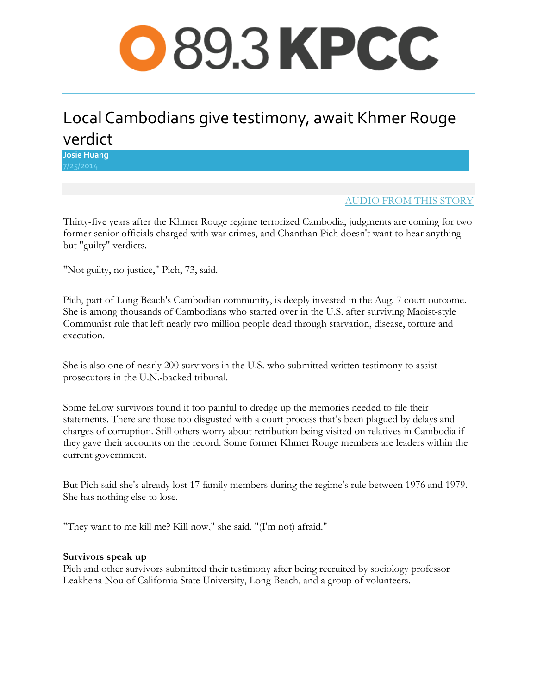# [Multi-American](http://www.scpr.org/blogs/multiamerican)

## Local Cambodians give testimony, await Khmer Rouge verdict

**[Josie Huang](http://www.scpr.org/about/people/staff/josie-huang)**

### [AUDIO FROM THIS STORY](http://media.scpr.org/audio/upload/2014/07/25/Khmer_Rouge_mp3-dc9d3d02.mp3)

Thirty-five years after the Khmer Rouge regime terrorized Cambodia, judgments are coming for two former senior officials charged with war crimes, and Chanthan Pich doesn't want to hear anything but "guilty" verdicts.

"Not guilty, no justice," Pich, 73, said.

Pich, part of Long Beach's Cambodian community, is deeply invested in the Aug. 7 court outcome. She is among thousands of Cambodians who started over in the U.S. after surviving Maoist-style Communist rule that left nearly two million people dead through starvation, disease, torture and execution.

She is also one of nearly 200 survivors in the U.S. who submitted written testimony to assist prosecutors in the U.N.-backed tribunal.

Some fellow survivors found it too painful to dredge up the memories needed to file their statements. There are those too disgusted with a court process that's been plagued by delays and charges of corruption. Still others worry about retribution being visited on relatives in Cambodia if they gave their accounts on the record. Some former Khmer Rouge members are leaders within the current government.

But Pich said she's already lost 17 family members during the regime's rule between 1976 and 1979. She has nothing else to lose.

"They want to me kill me? Kill now," she said. "(I'm not) afraid."

#### **Survivors speak up**

Pich and other survivors submitted their testimony after being recruited by sociology professor Leakhena Nou of California State University, Long Beach, and a group of volunteers.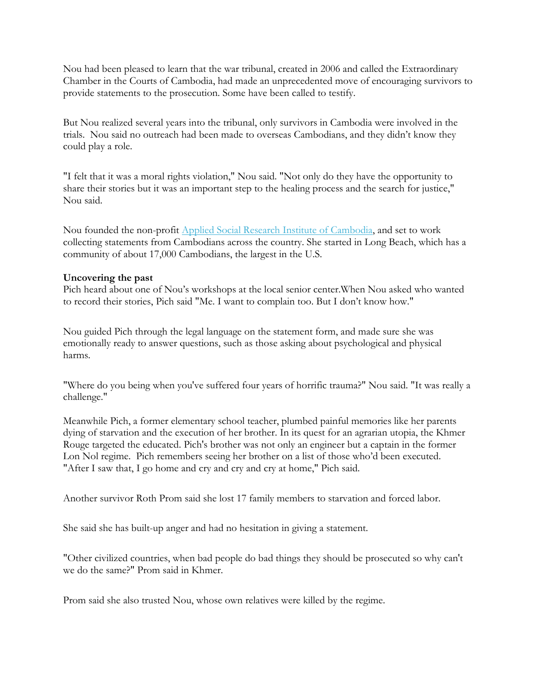Nou had been pleased to learn that the war tribunal, created in 2006 and called the Extraordinary Chamber in the Courts of Cambodia, had made an unprecedented move of encouraging survivors to provide statements to the prosecution. Some have been called to testify.

But Nou realized several years into the tribunal, only survivors in Cambodia were involved in the trials. Nou said no outreach had been made to overseas Cambodians, and they didn't know they could play a role.

"I felt that it was a moral rights violation," Nou said. "Not only do they have the opportunity to share their stories but it was an important step to the healing process and the search for justice," Nou said.

Nou founded the non-profit [Applied Social Research Institute of Cambodia,](http://www.asricjustice.com/) and set to work collecting statements from Cambodians across the country. She started in Long Beach, which has a community of about 17,000 Cambodians, the largest in the U.S.

#### **Uncovering the past**

Pich heard about one of Nou's workshops at the local senior center.When Nou asked who wanted to record their stories, Pich said "Me. I want to complain too. But I don't know how."

Nou guided Pich through the legal language on the statement form, and made sure she was emotionally ready to answer questions, such as those asking about psychological and physical harms.

"Where do you being when you've suffered four years of horrific trauma?" Nou said. "It was really a challenge."

Meanwhile Pich, a former elementary school teacher, plumbed painful memories like her parents dying of starvation and the execution of her brother. In its quest for an agrarian utopia, the Khmer Rouge targeted the educated. Pich's brother was not only an engineer but a captain in the former Lon Nol regime. Pich remembers seeing her brother on a list of those who'd been executed. "After I saw that, I go home and cry and cry and cry at home," Pich said.

Another survivor Roth Prom said she lost 17 family members to starvation and forced labor.

She said she has built-up anger and had no hesitation in giving a statement.

"Other civilized countries, when bad people do bad things they should be prosecuted so why can't we do the same?" Prom said in Khmer.

Prom said she also trusted Nou, whose own relatives were killed by the regime.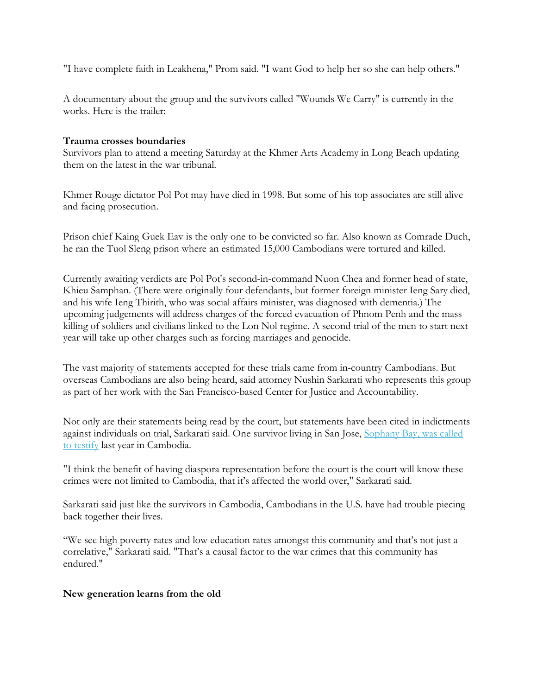"I have complete faith in Leakhena," Prom said. "I want God to help her so she can help others."

A documentary about the group and the survivors called "Wounds We Carry" is currently in the works. Here is the trailer:

#### **Trauma crosses boundaries**

Survivors plan to attend a meeting Saturday at the Khmer Arts Academy in Long Beach updating them on the latest in the war tribunal.

Khmer Rouge dictator Pol Pot may have died in 1998. But some of his top associates are still alive and facing prosecution.

Prison chief Kaing Guek Eav is the only one to be convicted so far. Also known as Comrade Duch, he ran the Tuol Sleng prison where an estimated 15,000 Cambodians were tortured and killed.

Currently awaiting verdicts are Pol Pot's second-in-command Nuon Chea and former head of state, Khieu Samphan. (There were originally four defendants, but former foreign minister Ieng Sary died, and his wife Ieng Thirith, who was social affairs minister, was diagnosed with dementia.) The upcoming judgements will address charges of the forced evacuation of Phnom Penh and the mass killing of soldiers and civilians linked to the Lon Nol regime. A second trial of the men to start next year will take up other charges such as forcing marriages and genocide.

The vast majority of statements accepted for these trials came from in-country Cambodians. But overseas Cambodians are also being heard, said attorney Nushin Sarkarati who represents this group as part of her work with the San Francisco-based Center for Justice and Accountability.

Not only are their statements being read by the court, but statements have been cited in indictments against individuals on trial, Sarkarati said. One survivor living in San Jose, [Sophany Bay, was called](http://www.scpr.org/blogs/multiamerican/2013/06/04/13887/khmer-rouge-survivor-travels-back-to-cambodia-to-t/)  [to testify](http://www.scpr.org/blogs/multiamerican/2013/06/04/13887/khmer-rouge-survivor-travels-back-to-cambodia-to-t/) last year in Cambodia.

"I think the benefit of having diaspora representation before the court is the court will know these crimes were not limited to Cambodia, that it's affected the world over," Sarkarati said.

Sarkarati said just like the survivors in Cambodia, Cambodians in the U.S. have had trouble piecing back together their lives.

"We see high poverty rates and low education rates amongst this community and that's not just a correlative," Sarkarati said. "That's a causal factor to the war crimes that this community has endured."

#### **New generation learns from the old**